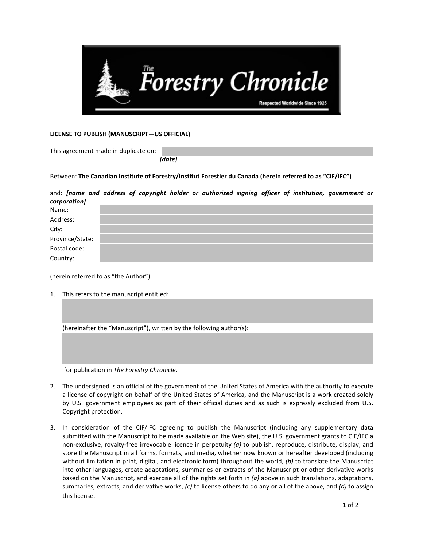

## **LICENSE TO PUBLISH (MANUSCRIPT—US OFFICIAL)**

This agreement made in duplicate on:

*[date]*

Between: The Canadian Institute of Forestry/Institut Forestier du Canada (herein referred to as "CIF/IFC")

and: *[name and address of copyright holder or authorized signing officer of institution, government or corporation]*

| Name:           |  |
|-----------------|--|
| Address:        |  |
| City:           |  |
| Province/State: |  |
| Postal code:    |  |
| Country:        |  |

(herein referred to as "the Author").

1. This refers to the manuscript entitled:

| (hereinafter the "Manuscript"), written by the following author(s): |  |  |  |  |
|---------------------------------------------------------------------|--|--|--|--|
|---------------------------------------------------------------------|--|--|--|--|

for publication in *The Forestry Chronicle*.

- 2. The undersigned is an official of the government of the United States of America with the authority to execute a license of copyright on behalf of the United States of America, and the Manuscript is a work created solely by U.S. government employees as part of their official duties and as such is expressly excluded from U.S. Copyright protection.
- 3. In consideration of the CIF/IFC agreeing to publish the Manuscript (including any supplementary data submitted with the Manuscript to be made available on the Web site), the U.S. government grants to CIF/IFC a non-exclusive, royalty-free irrevocable licence in perpetuity (a) to publish, reproduce, distribute, display, and store the Manuscript in all forms, formats, and media, whether now known or hereafter developed (including without limitation in print, digital, and electronic form) throughout the world, (b) to translate the Manuscript into other languages, create adaptations, summaries or extracts of the Manuscript or other derivative works based on the Manuscript, and exercise all of the rights set forth in (a) above in such translations, adaptations, summaries, extracts, and derivative works, (c) to license others to do any or all of the above, and (d) to assign this license.